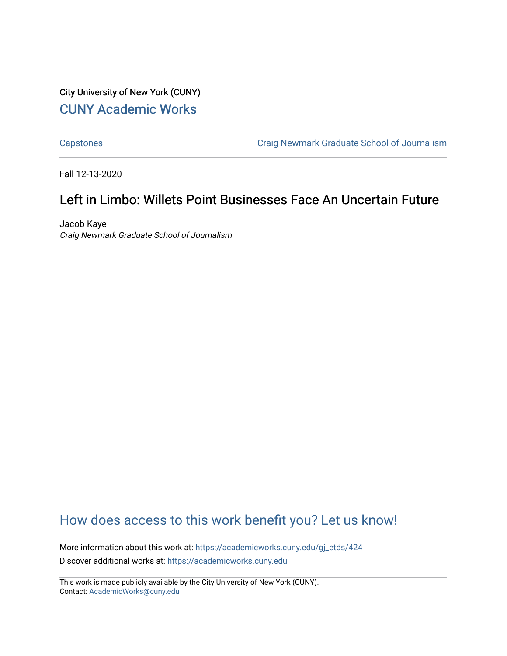## City University of New York (CUNY) [CUNY Academic Works](https://academicworks.cuny.edu/)

[Capstones](https://academicworks.cuny.edu/gj_etds) [Craig Newmark Graduate School of Journalism](https://academicworks.cuny.edu/gj) 

Fall 12-13-2020

# Left in Limbo: Willets Point Businesses Face An Uncertain Future

Jacob Kaye Craig Newmark Graduate School of Journalism

## [How does access to this work benefit you? Let us know!](http://ols.cuny.edu/academicworks/?ref=https://academicworks.cuny.edu/gj_etds/424)

More information about this work at: [https://academicworks.cuny.edu/gj\\_etds/424](https://academicworks.cuny.edu/gj_etds/424)  Discover additional works at: [https://academicworks.cuny.edu](https://academicworks.cuny.edu/?)

This work is made publicly available by the City University of New York (CUNY). Contact: [AcademicWorks@cuny.edu](mailto:AcademicWorks@cuny.edu)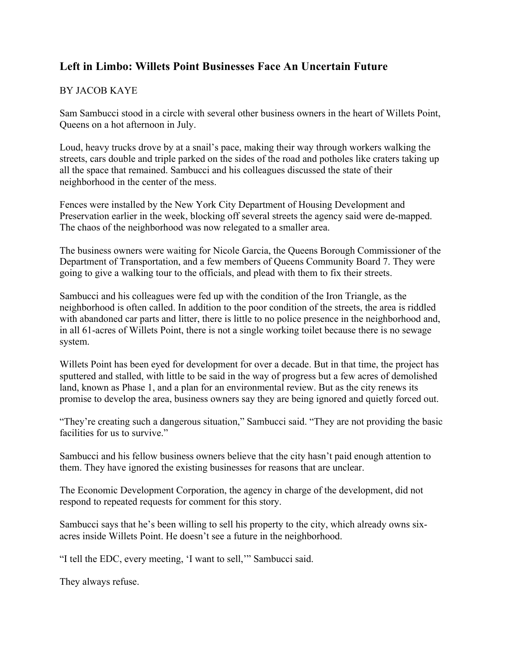### **Left in Limbo: Willets Point Businesses Face An Uncertain Future**

### BY JACOB KAYE

Sam Sambucci stood in a circle with several other business owners in the heart of Willets Point, Queens on a hot afternoon in July.

Loud, heavy trucks drove by at a snail's pace, making their way through workers walking the streets, cars double and triple parked on the sides of the road and potholes like craters taking up all the space that remained. Sambucci and his colleagues discussed the state of their neighborhood in the center of the mess.

Fences were installed by the New York City Department of Housing Development and Preservation earlier in the week, blocking off several streets the agency said were de-mapped. The chaos of the neighborhood was now relegated to a smaller area.

The business owners were waiting for Nicole Garcia, the Queens Borough Commissioner of the Department of Transportation, and a few members of Queens Community Board 7. They were going to give a walking tour to the officials, and plead with them to fix their streets.

Sambucci and his colleagues were fed up with the condition of the Iron Triangle, as the neighborhood is often called. In addition to the poor condition of the streets, the area is riddled with abandoned car parts and litter, there is little to no police presence in the neighborhood and, in all 61-acres of Willets Point, there is not a single working toilet because there is no sewage system.

Willets Point has been eyed for development for over a decade. But in that time, the project has sputtered and stalled, with little to be said in the way of progress but a few acres of demolished land, known as Phase 1, and a plan for an environmental review. But as the city renews its promise to develop the area, business owners say they are being ignored and quietly forced out.

"They're creating such a dangerous situation," Sambucci said. "They are not providing the basic facilities for us to survive."

Sambucci and his fellow business owners believe that the city hasn't paid enough attention to them. They have ignored the existing businesses for reasons that are unclear.

The Economic Development Corporation, the agency in charge of the development, did not respond to repeated requests for comment for this story.

Sambucci says that he's been willing to sell his property to the city, which already owns sixacres inside Willets Point. He doesn't see a future in the neighborhood.

"I tell the EDC, every meeting, 'I want to sell,'" Sambucci said.

They always refuse.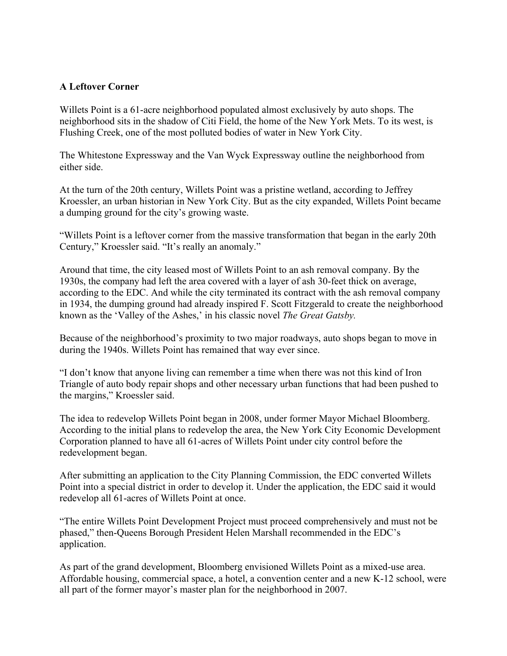#### **A Leftover Corner**

Willets Point is a 61-acre neighborhood populated almost exclusively by auto shops. The neighborhood sits in the shadow of Citi Field, the home of the New York Mets. To its west, is Flushing Creek, one of the most polluted bodies of water in New York City.

The Whitestone Expressway and the Van Wyck Expressway outline the neighborhood from either side.

At the turn of the 20th century, Willets Point was a pristine wetland, according to Jeffrey Kroessler, an urban historian in New York City. But as the city expanded, Willets Point became a dumping ground for the city's growing waste.

"Willets Point is a leftover corner from the massive transformation that began in the early 20th Century," Kroessler said. "It's really an anomaly."

Around that time, the city leased most of Willets Point to an ash removal company. By the 1930s, the company had left the area covered with a layer of ash 30-feet thick on average, according to the EDC. And while the city terminated its contract with the ash removal company in 1934, the dumping ground had already inspired F. Scott Fitzgerald to create the neighborhood known as the 'Valley of the Ashes,' in his classic novel *The Great Gatsby.*

Because of the neighborhood's proximity to two major roadways, auto shops began to move in during the 1940s. Willets Point has remained that way ever since.

"I don't know that anyone living can remember a time when there was not this kind of Iron Triangle of auto body repair shops and other necessary urban functions that had been pushed to the margins," Kroessler said.

The idea to redevelop Willets Point began in 2008, under former Mayor Michael Bloomberg. According to the initial plans to redevelop the area, the New York City Economic Development Corporation planned to have all 61-acres of Willets Point under city control before the redevelopment began.

After submitting an application to the City Planning Commission, the EDC converted Willets Point into a special district in order to develop it. Under the application, the EDC said it would redevelop all 61-acres of Willets Point at once.

"The entire Willets Point Development Project must proceed comprehensively and must not be phased," then-Queens Borough President Helen Marshall recommended in the EDC's application.

As part of the grand development, Bloomberg envisioned Willets Point as a mixed-use area. Affordable housing, commercial space, a hotel, a convention center and a new K-12 school, were all part of the former mayor's master plan for the neighborhood in 2007.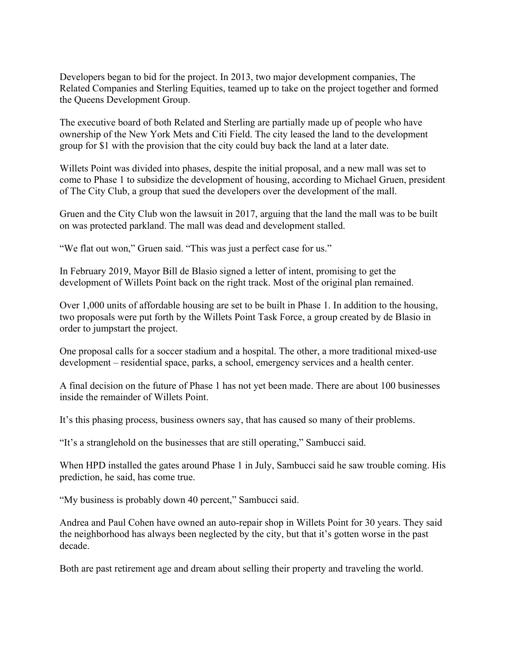Developers began to bid for the project. In 2013, two major development companies, The Related Companies and Sterling Equities, teamed up to take on the project together and formed the Queens Development Group.

The executive board of both Related and Sterling are partially made up of people who have ownership of the New York Mets and Citi Field. The city leased the land to the development group for \$1 with the provision that the city could buy back the land at a later date.

Willets Point was divided into phases, despite the initial proposal, and a new mall was set to come to Phase 1 to subsidize the development of housing, according to Michael Gruen, president of The City Club, a group that sued the developers over the development of the mall.

Gruen and the City Club won the lawsuit in 2017, arguing that the land the mall was to be built on was protected parkland. The mall was dead and development stalled.

"We flat out won," Gruen said. "This was just a perfect case for us."

In February 2019, Mayor Bill de Blasio signed a letter of intent, promising to get the development of Willets Point back on the right track. Most of the original plan remained.

Over 1,000 units of affordable housing are set to be built in Phase 1. In addition to the housing, two proposals were put forth by the Willets Point Task Force, a group created by de Blasio in order to jumpstart the project.

One proposal calls for a soccer stadium and a hospital. The other, a more traditional mixed-use development – residential space, parks, a school, emergency services and a health center.

A final decision on the future of Phase 1 has not yet been made. There are about 100 businesses inside the remainder of Willets Point.

It's this phasing process, business owners say, that has caused so many of their problems.

"It's a stranglehold on the businesses that are still operating," Sambucci said.

When HPD installed the gates around Phase 1 in July, Sambucci said he saw trouble coming. His prediction, he said, has come true.

"My business is probably down 40 percent," Sambucci said.

Andrea and Paul Cohen have owned an auto-repair shop in Willets Point for 30 years. They said the neighborhood has always been neglected by the city, but that it's gotten worse in the past decade.

Both are past retirement age and dream about selling their property and traveling the world.